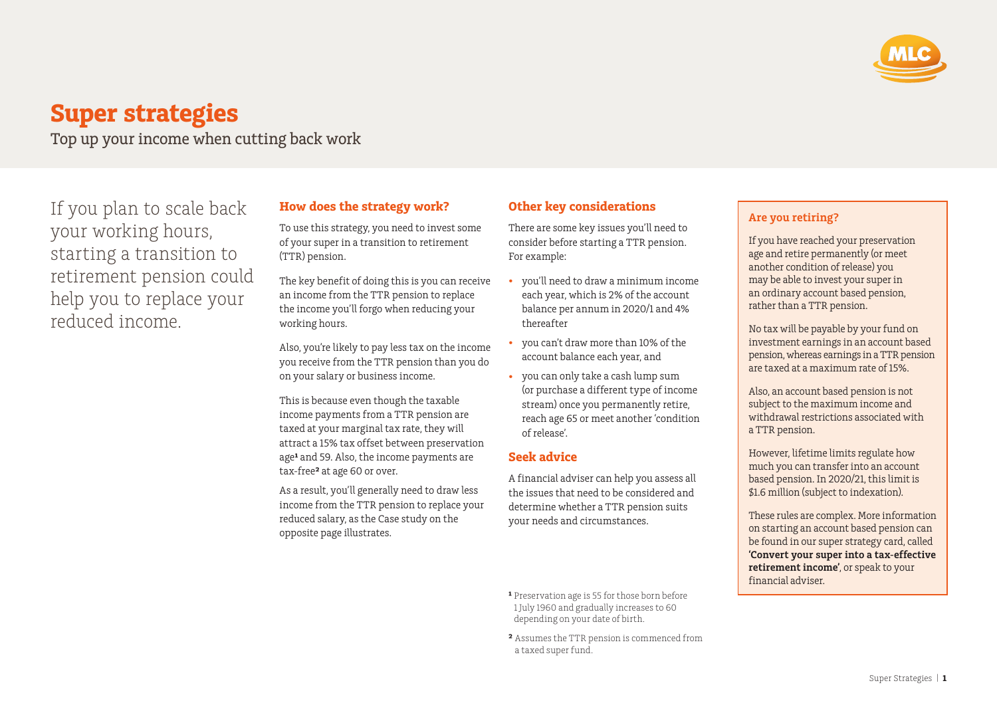

# **Super strategies**

Top up your income when cutting back work

If you plan to scale back your working hours, starting a transition to retirement pension could help you to replace your reduced income.

## **How does the strategy work?**

To use this strategy, you need to invest some of your super in a transition to retirement (TTR) pension.

The key benefit of doing this is you can receive an income from the TTR pension to replace the income you'll forgo when reducing your working hours.

Also, you're likely to pay less tax on the income you receive from the TTR pension than you do on your salary or business income.

This is because even though the taxable income payments from a TTR pension are taxed at your marginal tax rate, they will attract a 15% tax offset between preservation age<sup>1</sup> and 59. Also, the income payments are tax-free**²** at age 60 or over.

As a result, you'll generally need to draw less income from the TTR pension to replace your reduced salary, as the Case study on the opposite page illustrates.

# **Other key considerations**

There are some key issues you'll need to consider before starting a TTR pension. For example:

- you'll need to draw a minimum income each year, which is 2% of the account balance per annum in 2020/1 and 4% thereafter
- you can't draw more than 10% of the account balance each year, and
- you can only take a cash lump sum (or purchase a different type of income stream) once you permanently retire, reach age 65 or meet another 'condition of release'.

#### **Seek advice**

A financial adviser can help you assess all the issues that need to be considered and determine whether a TTR pension suits your needs and circumstances.

- **¹** Preservation age is 55 for those born before 1 July 1960 and gradually increases to 60 depending on your date of birth.
- **²** Assumes the TTR pension is commenced from a taxed super fund.

## **Are you retiring?**

If you have reached your preservation age and retire permanently (or meet another condition of release) you may be able to invest your super in an ordinary account based pension, rather than a TTR pension.

No tax will be payable by your fund on investment earnings in an account based pension, whereas earnings in a TTR pension are taxed at a maximum rate of 15%.

Also, an account based pension is not subject to the maximum income and withdrawal restrictions associated with a TTR pension.

However, lifetime limits regulate how much you can transfer into an account based pension. In 2020/21, this limit is \$1.6 million (subject to indexation).

These rules are complex. More information on starting an account based pension can be found in our super strategy card, called **'Convert your super into a tax-effective retirement income'**, or speak to your financial adviser.